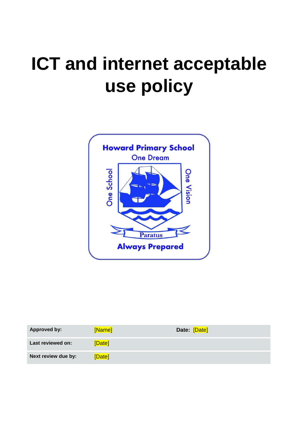# **ICT and internet acceptable use policy**



| Approved by:        | [Name] | Date: [Date] |
|---------------------|--------|--------------|
| Last reviewed on:   | [Date] |              |
| Next review due by: | [Date] |              |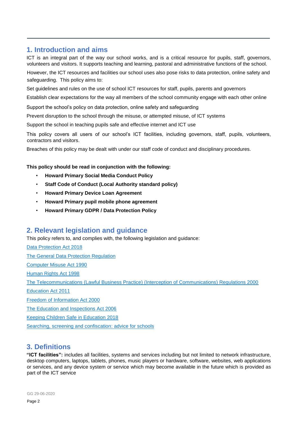# **1. Introduction and aims**

ICT is an integral part of the way our school works, and is a critical resource for pupils, staff, governors, volunteers and visitors. It supports teaching and learning, pastoral and administrative functions of the school.

However, the ICT resources and facilities our school uses also pose risks to data protection, online safety and safeguarding. This policy aims to:

Set guidelines and rules on the use of school ICT resources for staff, pupils, parents and governors

Establish clear expectations for the way all members of the school community engage with each other online

Support the school's policy on data protection, online safety and safeguarding

Prevent disruption to the school through the misuse, or attempted misuse, of ICT systems

Support the school in teaching pupils safe and effective internet and ICT use

This policy covers all users of our school's ICT facilities, including governors, staff, pupils, volunteers, contractors and visitors.

Breaches of this policy may be dealt with under our staff code of conduct and disciplinary procedures.

#### **This policy should be read in conjunction with the following:**

- **Howard Primary Social Media Conduct Policy**
- **Staff Code of Conduct (Local Authority standard policy)**
- **Howard Primary Device Loan Agreement**
- **Howard Primary pupil mobile phone agreement**
- **Howard Primary GDPR / Data Protection Policy**

# **2. Relevant legislation and guidance**

This policy refers to, and complies with, the following legislation and guidance:

[Data Protection Act 2018](http://www.legislation.gov.uk/ukpga/2018/12/contents/enacted) [The General Data Protection Regulation](https://eur-lex.europa.eu/legal-content/EN/TXT/HTML/?uri=CELEX:32016R0679) [Computer Misuse Act 1990](https://www.legislation.gov.uk/ukpga/1990/18/contents) [Human Rights Act 1998](https://www.legislation.gov.uk/ukpga/1998/42/contents) [The Telecommunications \(Lawful Business Practice\) \(Interception of Communications\) Regulations 2000](https://www.legislation.gov.uk/uksi/2000/2699/regulation/3/made) [Education Act 2011](http://www.legislation.gov.uk/ukpga/2011/21/section/2/enacted) [Freedom of Information Act 2000](https://www.legislation.gov.uk/ukpga/2000/36/contents) [The Education and Inspections Act 2006](https://www.legislation.gov.uk/ukpga/2006/40/part/7/chapter/1) [Keeping Children Safe](https://www.gov.uk/government/publications/keeping-children-safe-in-education--2) in Education 201[8](https://www.gov.uk/government/publications/keeping-children-safe-in-education--2)

[Searching, screening and confiscation: advice for schools](https://www.gov.uk/government/publications/searching-screening-and-confiscation)

# **3. Definitions**

**"ICT facilities":** includes all facilities, systems and services including but not limited to network infrastructure, desktop computers, laptops, tablets, phones, music players or hardware, software, websites, web applications or services, and any device system or service which may become available in the future which is provided as part of the ICT service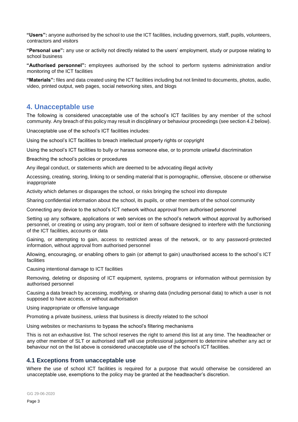**"Users":** anyone authorised by the school to use the ICT facilities, including governors, staff, pupils, volunteers, contractors and visitors

**"Personal use":** any use or activity not directly related to the users' employment, study or purpose relating to school business

**"Authorised personnel":** employees authorised by the school to perform systems administration and/or monitoring of the ICT facilities

**"Materials":** files and data created using the ICT facilities including but not limited to documents, photos, audio, video, printed output, web pages, social networking sites, and blogs

## **4. Unacceptable use**

The following is considered unacceptable use of the school's ICT facilities by any member of the school community. Any breach of this policy may result in disciplinary or behaviour proceedings (see section 4.2 below).

Unacceptable use of the school's ICT facilities includes:

Using the school's ICT facilities to breach intellectual property rights or copyright

Using the school's ICT facilities to bully or harass someone else, or to promote unlawful discrimination

Breaching the school's policies or procedures

Any illegal conduct, or statements which are deemed to be advocating illegal activity

Accessing, creating, storing, linking to or sending material that is pornographic, offensive, obscene or otherwise inappropriate

Activity which defames or disparages the school, or risks bringing the school into disrepute

Sharing confidential information about the school, its pupils, or other members of the school community

Connecting any device to the school's ICT network without approval from authorised personnel

Setting up any software, applications or web services on the school's network without approval by authorised personnel, or creating or using any program, tool or item of software designed to interfere with the functioning of the ICT facilities, accounts or data

Gaining, or attempting to gain, access to restricted areas of the network, or to any password-protected information, without approval from authorised personnel

Allowing, encouraging, or enabling others to gain (or attempt to gain) unauthorised access to the school's ICT facilities

Causing intentional damage to ICT facilities

Removing, deleting or disposing of ICT equipment, systems, programs or information without permission by authorised personnel

Causing a data breach by accessing, modifying, or sharing data (including personal data) to which a user is not supposed to have access, or without authorisation

Using inappropriate or offensive language

Promoting a private business, unless that business is directly related to the school

Using websites or mechanisms to bypass the school's filtering mechanisms

This is not an exhaustive list. The school reserves the right to amend this list at any time. The headteacher or any other member of SLT or authorised staff will use professional judgement to determine whether any act or behaviour not on the list above is considered unacceptable use of the school's ICT facilities.

## **4.1 Exceptions from unacceptable use**

Where the use of school ICT facilities is required for a purpose that would otherwise be considered an unacceptable use, exemptions to the policy may be granted at the headteacher's discretion.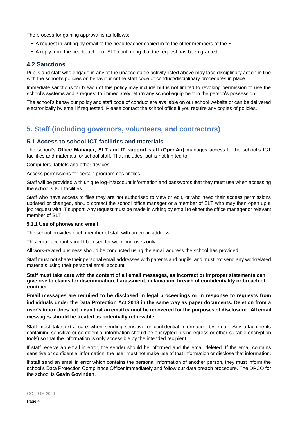The process for gaining approval is as follows:

- A request in writing by email to the head teacher copied in to the other members of the SLT.
- A reply from the headteacher or SLT confirming that the request has been granted.

## **4.2 Sanctions**

Pupils and staff who engage in any of the unacceptable activity listed above may face disciplinary action in line with the school's policies on behaviour or the staff code of conduct/disciplinary procedures in place.

Immediate sanctions for breach of this policy may include but is not limited to revoking permission to use the school's systems and a request to immediately return any school equipment in the person's possession.

The school's behaviour policy and staff code of conduct are available on our school website or can be delivered electronically by email if requested. Please contact the school office if you require any copies of policies.

# **5. Staff (including governors, volunteers, and contractors)**

## **5.1 Access to school ICT facilities and materials**

The school's **Office Manager, SLT and IT support staff (OpenAir)** manages access to the school's ICT facilities and materials for school staff. That includes, but is not limited to:

Computers, tablets and other devices

Access permissions for certain programmes or files

Staff will be provided with unique log-in/account information and passwords that they must use when accessing the school's ICT facilities.

Staff who have access to files they are not authorised to view or edit, or who need their access permissions updated or changed, should contact the school office manager or a member of SLT who may then open up a job request with IT support. Any request must be made in writing by email to either the office manager or relevant member of SLT.

#### **5.1.1 Use of phones and email**

The school provides each member of staff with an email address.

This email account should be used for work purposes only.

All work-related business should be conducted using the email address the school has provided.

Staff must not share their personal email addresses with parents and pupils, and must not send any workrelated materials using their personal email account.

**Staff must take care with the content of all email messages, as incorrect or improper statements can give rise to claims for discrimination, harassment, defamation, breach of confidentiality or breach of contract.** 

**Email messages are required to be disclosed in legal proceedings or in response to requests from individuals under the Data Protection Act 2018 in the same way as paper documents. Deletion from a user's inbox does not mean that an email cannot be recovered for the purposes of disclosure. All email messages should be treated as potentially retrievable.** 

Staff must take extra care when sending sensitive or confidential information by email. Any attachments containing sensitive or confidential information should be encrypted (using egress or other suitable encryption tools) so that the information is only accessible by the intended recipient.

If staff receive an email in error, the sender should be informed and the email deleted. If the email contains sensitive or confidential information, the user must not make use of that information or disclose that information.

If staff send an email in error which contains the personal information of another person, they must inform the school's Data Protection Compliance Officer immediately and follow our data breach procedure. The DPCO for the school is **Gavin Govinden**.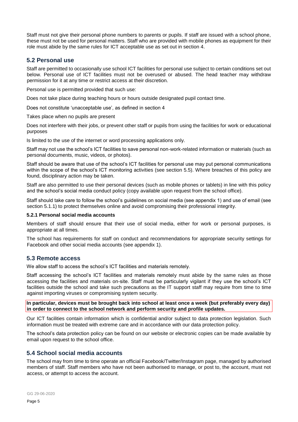Staff must not give their personal phone numbers to parents or pupils. If staff are issued with a school phone, these must not be used for personal matters. Staff who are provided with mobile phones as equipment for their role must abide by the same rules for ICT acceptable use as set out in section 4.

## **5.2 Personal use**

Staff are permitted to occasionally use school ICT facilities for personal use subject to certain conditions set out below. Personal use of ICT facilities must not be overused or abused. The head teacher may withdraw permission for it at any time or restrict access at their discretion.

Personal use is permitted provided that such use:

Does not take place during teaching hours or hours outside designated pupil contact time.

Does not constitute 'unacceptable use', as defined in section 4

Takes place when no pupils are present

Does not interfere with their jobs, or prevent other staff or pupils from using the facilities for work or educational purposes

Is limited to the use of the internet or word processing applications only.

Staff may not use the school's ICT facilities to save personal non-work-related information or materials (such as personal documents, music, videos, or photos).

Staff should be aware that use of the school's ICT facilities for personal use may put personal communications within the scope of the school's ICT monitoring activities (see section 5.5). Where breaches of this policy are found, disciplinary action may be taken.

Staff are also permitted to use their personal devices (such as mobile phones or tablets) in line with this policy and the school's social media conduct policy (copy available upon request from the school office).

Staff should take care to follow the school's guidelines on social media (see appendix 1) and use of email (see section 5.1.1) to protect themselves online and avoid compromising their professional integrity.

#### **5.2.1 Personal social media accounts**

Members of staff should ensure that their use of social media, either for work or personal purposes, is appropriate at all times.

The school has requirements for staff on conduct and recommendations for appropriate security settings for Facebook and other social media accounts (see appendix 1).

## **5.3 Remote access**

We allow staff to access the school's ICT facilities and materials remotely.

Staff accessing the school's ICT facilities and materials remotely must abide by the same rules as those accessing the facilities and materials on-site. Staff must be particularly vigilant if they use the school's ICT facilities outside the school and take such precautions as the IT support staff may require from time to time against importing viruses or compromising system security.

**In particular, devices must be brought back into school at least once a week (but preferably every day) in order to connect to the school network and perform security and profile updates.** 

Our ICT facilities contain information which is confidential and/or subject to data protection legislation. Such information must be treated with extreme care and in accordance with our data protection policy.

The school's data protection policy can be found on our website or electronic copies can be made available by email upon request to the school office.

## **5.4 School social media accounts**

The school may from time to time operate an official Facebook/Twitter/Instagram page, managed by authorised members of staff. Staff members who have not been authorised to manage, or post to, the account, must not access, or attempt to access the account.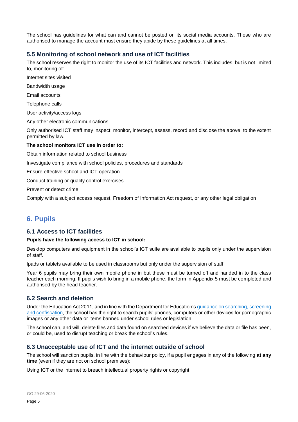The school has guidelines for what can and cannot be posted on its social media accounts. Those who are authorised to manage the account must ensure they abide by these guidelines at all times.

## **5.5 Monitoring of school network and use of ICT facilities**

The school reserves the right to monitor the use of its ICT facilities and network. This includes, but is not limited to, monitoring of:

Internet sites visited

Bandwidth usage

Email accounts

Telephone calls

User activity/access logs

Any other electronic communications

Only authorised ICT staff may inspect, monitor, intercept, assess, record and disclose the above, to the extent permitted by law.

#### **The school monitors ICT use in order to:**

Obtain information related to school business

Investigate compliance with school policies, procedures and standards

Ensure effective school and ICT operation

Conduct training or quality control exercises

Prevent or detect crime

Comply with a subject access request, Freedom of Information Act request, or any other legal obligation

# **6. Pupils**

## **6.1 Access to ICT facilities**

## **Pupils have the following access to ICT in school:**

Desktop computers and equipment in the school's ICT suite are available to pupils only under the supervision of staff.

Ipads or tablets available to be used in classrooms but only under the supervision of staff.

Year 6 pupils may bring their own mobile phone in but these must be turned off and handed in to the class teacher each morning. If pupils wish to bring in a mobile phone, the form in Appendix 5 must be completed and authorised by the head teacher.

## **6.2 Search and deletion**

Under the Education Act 2011, and in line with the Department for Education'[s guidance on searching,](https://www.gov.uk/government/publications/searching-screening-and-confiscation) [screening](https://www.gov.uk/government/publications/searching-screening-and-confiscation)  [and confiscation,](https://www.gov.uk/government/publications/searching-screening-and-confiscation) the school has the right to search pupils' phones, computers or other devices for pornographic images or any other data or items banned under school rules or legislation.

The school can, and will, delete files and data found on searched devices if we believe the data or file has been, or could be, used to disrupt teaching or break the school's rules.

# **6.3 Unacceptable use of ICT and the internet outside of school**

The school will sanction pupils, in line with the behaviour policy, if a pupil engages in any of the following **at any time** (even if they are not on school premises):

Using ICT or the internet to breach intellectual property rights or copyright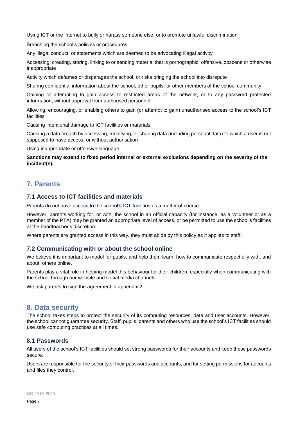Using ICT or the internet to bully or harass someone else, or to promote unlawful discrimination

Breaching the school's policies or procedures

Any illegal conduct, or statements which are deemed to be advocating illegal activity

Accessing, creating, storing, linking to or sending material that is pornographic, offensive, obscene or otherwise inappropriate

Activity which defames or disparages the school, or risks bringing the school into disrepute

Sharing confidential information about the school, other pupils, or other members of the school community

Gaining or attempting to gain access to restricted areas of the network, or to any password protected information, without approval from authorised personnel

Allowing, encouraging, or enabling others to gain (or attempt to gain) unauthorised access to the school's ICT facilities

Causing intentional damage to ICT facilities or materials

Causing a data breach by accessing, modifying, or sharing data (including personal data) to which a user is not supposed to have access, or without authorisation

Using inappropriate or offensive language

**Sanctions may extend to fixed period internal or external exclusions depending on the severity of the incident(s).** 

# **7. Parents**

## **7.1 Access to ICT facilities and materials**

Parents do not have access to the school's ICT facilities as a matter of course.

However, parents working for, or with, the school in an official capacity (for instance, as a volunteer or as a member of the PTA) may be granted an appropriate level of access, or be permitted to use the school's facilities at the headteacher's discretion.

Where parents are granted access in this way, they must abide by this policy as it applies to staff.

## **7.2 Communicating with or about the school online**

We believe it is important to model for pupils, and help them learn, how to communicate respectfully with, and about, others online.

Parents play a vital role in helping model this behaviour for their children, especially when communicating with the school through our website and social media channels.

We ask parents to sign the agreement in appendix 2.

# **8. Data security**

The school takes steps to protect the security of its computing resources, data and user accounts. However, the school cannot guarantee security. Staff, pupils, parents and others who use the school's ICT facilities should use safe computing practices at all times.

## **8.1 Passwords**

All users of the school's ICT facilities should set strong passwords for their accounts and keep these passwords secure.

Users are responsible for the security of their passwords and accounts, and for setting permissions for accounts and files they control.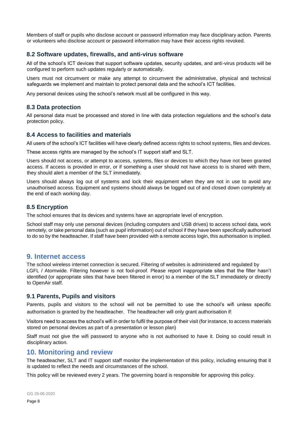Members of staff or pupils who disclose account or password information may face disciplinary action. Parents or volunteers who disclose account or password information may have their access rights revoked.

## **8.2 Software updates, firewalls, and anti-virus software**

All of the school's ICT devices that support software updates, security updates, and anti-virus products will be configured to perform such updates regularly or automatically.

Users must not circumvent or make any attempt to circumvent the administrative, physical and technical safeguards we implement and maintain to protect personal data and the school's ICT facilities.

Any personal devices using the school's network must all be configured in this way.

#### **8.3 Data protection**

All personal data must be processed and stored in line with data protection regulations and the school's data protection policy.

#### **8.4 Access to facilities and materials**

All users of the school's ICT facilities will have clearly defined access rights to school systems, files and devices.

These access rights are managed by the school's IT support staff and SLT.

Users should not access, or attempt to access, systems, files or devices to which they have not been granted access. If access is provided in error, or if something a user should not have access to is shared with them, they should alert a member of the SLT immediately.

Users should always log out of systems and lock their equipment when they are not in use to avoid any unauthorised access. Equipment and systems should always be logged out of and closed down completely at the end of each working day.

## **8.5 Encryption**

The school ensures that its devices and systems have an appropriate level of encryption.

School staff may only use personal devices (including computers and USB drives) to access school data, work remotely, or take personal data (such as pupil information) out of school if they have been specifically authorised to do so by the headteacher. If staff have been provided with a remote access login, this authorisation is implied.

## **9. Internet access**

The school wireless internet connection is secured. Filtering of websites is administered and regulated by LGFL / Atomwide. Filtering however is not fool-proof. Please report inappropriate sites that the filter hasn't identified (or appropriate sites that have been filtered in error) to a member of the SLT immediately or directly to OpenAir staff.

## **9.1 Parents, Pupils and visitors**

Parents, pupils and visitors to the school will not be permitted to use the school's wifi unless specific authorisation is granted by the headteacher. The headteacher will only grant authorisation if:

Visitors need to access the school's wifi in order to fulfil the purpose of their visit (for instance, to access materials stored on personal devices as part of a presentation or lesson plan)

Staff must not give the wifi password to anyone who is not authorised to have it. Doing so could result in disciplinary action.

## **10. Monitoring and review**

The headteacher, SLT and IT support staff monitor the implementation of this policy, including ensuring that it is updated to reflect the needs and circumstances of the school.

This policy will be reviewed every 2 years. The governing board is responsible for approving this policy.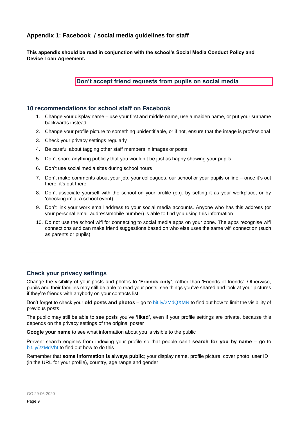## **Appendix 1: Facebook / social media guidelines for staff**

**This appendix should be read in conjunction with the school's Social Media Conduct Policy and Device Loan Agreement.** 

**Don't accept friend requests from pupils on social media** 

#### **10 recommendations for school staff on Facebook**

- 1. Change your display name use your first and middle name, use a maiden name, or put your surname backwards instead
- 2. Change your profile picture to something unidentifiable, or if not, ensure that the image is professional
- 3. Check your privacy settings regularly
- 4. Be careful about tagging other staff members in images or posts
- 5. Don't share anything publicly that you wouldn't be just as happy showing your pupils
- 6. Don't use social media sites during school hours
- 7. Don't make comments about your job, your colleagues, our school or your pupils online once it's out there, it's out there
- 8. Don't associate yourself with the school on your profile (e.g. by setting it as your workplace, or by 'checking in' at a school event)
- 9. Don't link your work email address to your social media accounts. Anyone who has this address (or your personal email address/mobile number) is able to find you using this information
- 10. Do not use the school wifi for connecting to social media apps on your pone. The apps recognise wifi connections and can make friend suggestions based on who else uses the same wifi connection (such as parents or pupils)

## **Check your privacy settings**

Change the visibility of your posts and photos to **'Friends only'**, rather than 'Friends of friends'. Otherwise, pupils and their families may still be able to read your posts, see things you've shared and look at your pictures if they're friends with anybody on your contacts list

Don't forget to check your **old posts and photos** – go to [bit.ly/2MdQXMN](https://www.facebook.com/help/iphone-app/236898969688346?helpref=uf_permalink) to find out how to limit the visibility of previous posts

The public may still be able to see posts you've **'liked'**, even if your profile settings are private, because this depends on the privacy settings of the original poster

**Google your name** to see what information about you is visible to the public

Prevent search engines from indexing your profile so that people can't **search for you by name** – go to [bit.ly/2zMdVht to](https://www.facebook.com/help/124518907626945?helpref=faq_content) find out how to do this

Remember that **some information is always public**; your display name, profile picture, cover photo, user ID (in the URL for your profile), country, age range and gender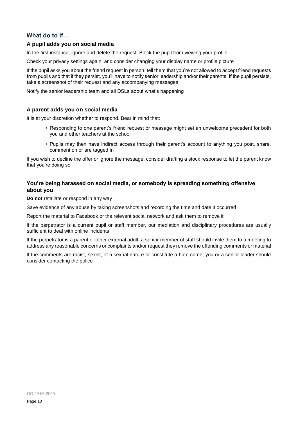## **What do to if…**

#### **A pupil adds you on social media**

In the first instance, ignore and delete the request. Block the pupil from viewing your profile

Check your privacy settings again, and consider changing your display name or profile picture

If the pupil asks you about the friend request in person, tell them that you're not allowed to accept friend requests from pupils and that if they persist, you'll have to notify senior leadership and/or their parents. If the pupil persists, take a screenshot of their request and any accompanying messages

Notify the senior leadership team and all DSLs about what's happening

#### **A parent adds you on social media**

It is at your discretion whether to respond. Bear in mind that:

- Responding to one parent's friend request or message might set an unwelcome precedent for both you and other teachers at the school
- Pupils may then have indirect access through their parent's account to anything you post, share, comment on or are tagged in

If you wish to decline the offer or ignore the message, consider drafting a stock response to let the parent know that you're doing so

## **You're being harassed on social media, or somebody is spreading something offensive about you**

**Do not** retaliate or respond in any way

Save evidence of any abuse by taking screenshots and recording the time and date it occurred

Report the material to Facebook or the relevant social network and ask them to remove it

If the perpetrator is a current pupil or staff member, our mediation and disciplinary procedures are usually sufficient to deal with online incidents

If the perpetrator is a parent or other external adult, a senior member of staff should invite them to a meeting to address any reasonable concerns or complaints and/or request they remove the offending comments or material

If the comments are racist, sexist, of a sexual nature or constitute a hate crime, you or a senior leader should consider contacting the police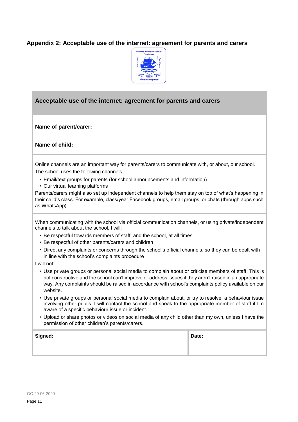## **Appendix 2: Acceptable use of the internet: agreement for parents and carers**



## **Acceptable use of the internet: agreement for parents and carers**

**Name of parent/carer:** 

**Name of child:**

Online channels are an important way for parents/carers to communicate with, or about, our school. The school uses the following channels:

- Email/text groups for parents (for school announcements and information)
- Our virtual learning platforms

Parents/carers might also set up independent channels to help them stay on top of what's happening in their child's class. For example, class/year Facebook groups, email groups, or chats (through apps such as WhatsApp).

When communicating with the school via official communication channels, or using private/independent channels to talk about the school, I will:

- Be respectful towards members of staff, and the school, at all times
- Be respectful of other parents/carers and children
- Direct any complaints or concerns through the school's official channels, so they can be dealt with in line with the school's complaints procedure

I will not:

- Use private groups or personal social media to complain about or criticise members of staff. This is not constructive and the school can't improve or address issues if they aren't raised in an appropriate way. Any complaints should be raised in accordance with school's complaints policy available on our website.
- Use private groups or personal social media to complain about, or try to resolve, a behaviour issue involving other pupils. I will contact the school and speak to the appropriate member of staff if I'm aware of a specific behaviour issue or incident.
- Upload or share photos or videos on social media of any child other than my own, unless I have the permission of other children's parents/carers.

| Signed: | Date: |
|---------|-------|
|         |       |
|         |       |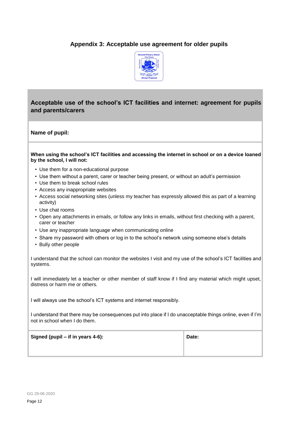# **Appendix 3: Acceptable use agreement for older pupils**



# **Acceptable use of the school's ICT facilities and internet: agreement for pupils and parents/carers**

#### **Name of pupil:**

#### **When using the school's ICT facilities and accessing the internet in school or on a device loaned by the school, I will not:**

- Use them for a non-educational purpose
- Use them without a parent, carer or teacher being present, or without an adult's permission
- Use them to break school rules
- Access any inappropriate websites
- Access social networking sites (unless my teacher has expressly allowed this as part of a learning activity)
- Use chat rooms
- Open any attachments in emails, or follow any links in emails, without first checking with a parent, carer or teacher
- Use any inappropriate language when communicating online
- Share my password with others or log in to the school's network using someone else's details
- Bully other people

I understand that the school can monitor the websites I visit and my use of the school's ICT facilities and systems.

I will immediately let a teacher or other member of staff know if I find any material which might upset, distress or harm me or others.

I will always use the school's ICT systems and internet responsibly.

I understand that there may be consequences put into place if I do unacceptable things online, even if I'm not in school when I do them.

**Signed (pupil – if in years 4-6): Date:**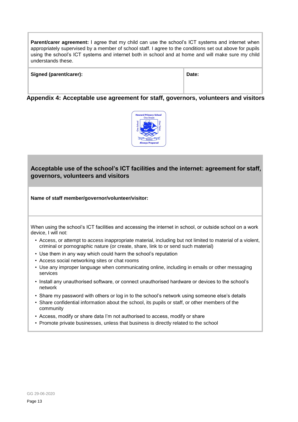**Parent/carer agreement:** I agree that my child can use the school's ICT systems and internet when appropriately supervised by a member of school staff. I agree to the conditions set out above for pupils using the school's ICT systems and internet both in school and at home and will make sure my child understands these.

| Signed (parent/carer): | Date: |
|------------------------|-------|
|                        |       |

**Appendix 4: Acceptable use agreement for staff, governors, volunteers and visitors** 



# **Acceptable use of the school's ICT facilities and the internet: agreement for staff, governors, volunteers and visitors**

**Name of staff member/governor/volunteer/visitor:** 

When using the school's ICT facilities and accessing the internet in school, or outside school on a work device, I will not:

- Access, or attempt to access inappropriate material, including but not limited to material of a violent, criminal or pornographic nature (or create, share, link to or send such material)
- Use them in any way which could harm the school's reputation
- Access social networking sites or chat rooms
- Use any improper language when communicating online, including in emails or other messaging services
- Install any unauthorised software, or connect unauthorised hardware or devices to the school's network
- Share my password with others or log in to the school's network using someone else's details
- Share confidential information about the school, its pupils or staff, or other members of the community
- Access, modify or share data I'm not authorised to access, modify or share
- Promote private businesses, unless that business is directly related to the school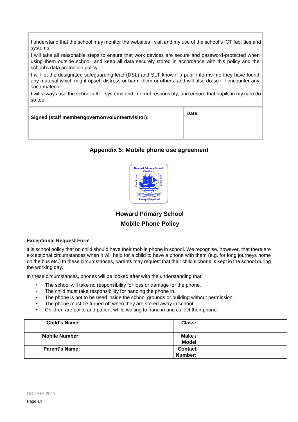I understand that the school may monitor the websites I visit and my use of the school's ICT facilities and systems.

I will take all reasonable steps to ensure that work devices are secure and password-protected when using them outside school, and keep all data securely stored in accordance with this policy and the school's data protection policy.

I will let the designated safeguarding lead (DSL) and SLT know if a pupil informs me they have found any material which might upset, distress or harm them or others, and will also do so if I encounter any such material.

I will always use the school's ICT systems and internet responsibly, and ensure that pupils in my care do so too.

| Signed (staff member/governor/volunteer/visitor):                                                                                                                                                                                     | Date: |  |  |
|---------------------------------------------------------------------------------------------------------------------------------------------------------------------------------------------------------------------------------------|-------|--|--|
| $\blacksquare$ . The second contract of the second contract of the second contract of the second contract of the second contract of the second contract of the second contract of the second contract of the second contract of the s |       |  |  |

## **Appendix 5: Mobile phone use agreement**



**Howard Primary School Mobile Phone Policy** 

#### **Exceptional Request Form**

It is school policy that no child should have their mobile phone in school. We recognise, however, that there are exceptional circumstances when it will help for a child to have a phone with them (e.g. for long journeys home on the bus etc.) In these circumstances, parents may request that their child's phone is kept in the school during the working day.

In these circumstances, phones will be looked after with the understanding that:

- The school will take no responsibility for loss or damage for the phone.
- The child must take responsibility for handing the phone in.
- The phone is not to be used inside the school grounds or building without permission.
- The phone must be turned off when they are stored away in school.
- Children are polite and patient while waiting to hand in and collect their phone.

| <b>Child's Name:</b>  | Class:                    |  |
|-----------------------|---------------------------|--|
| <b>Mobile Number:</b> | Make/<br><b>Model</b>     |  |
| <b>Parent's Name:</b> | <b>Contact</b><br>Number: |  |